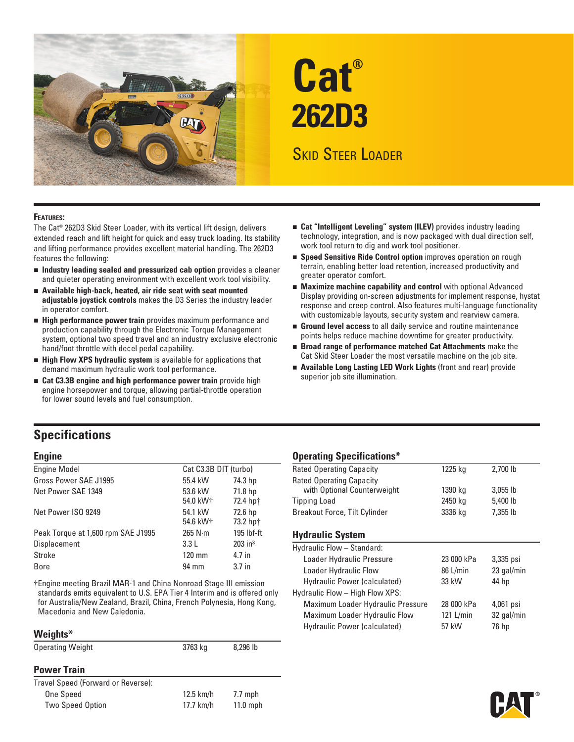

# **Cat® 262D3**

# Skid Steer Loader

#### **Features:**

The Cat® 262D3 Skid Steer Loader, with its vertical lift design, delivers extended reach and lift height for quick and easy truck loading. Its stability and lifting performance provides excellent material handling. The 262D3 features the following:

- n **Industry leading sealed and pressurized cab option** provides a cleaner and quieter operating environment with excellent work tool visibility.
- **n** Available high-back, heated, air ride seat with seat mounted **adjustable joystick controls** makes the D3 Series the industry leader in operator comfort.
- **External Performance power train** provides maximum performance and production capability through the Electronic Torque Management system, optional two speed travel and an industry exclusive electronic hand/foot throttle with decel pedal capability.
- **Exter High Flow XPS hydraulic system** is available for applications that demand maximum hydraulic work tool performance.
- **Example 2.33B engine and high performance power train** provide high engine horsepower and torque, allowing partial-throttle operation for lower sound levels and fuel consumption.
- **Example 2 Cat "Intelligent Leveling" system (ILEV)** provides industry leading technology, integration, and is now packaged with dual direction self, work tool return to dig and work tool positioner.
- **Example 3 Speed Sensitive Ride Control option** improves operation on rough terrain, enabling better load retention, increased productivity and greater operator comfort.
- **Maximize machine capability and control** with optional Advanced Display providing on-screen adjustments for implement response, hystat response and creep control. Also features multi-language functionality with customizable layouts, security system and rearview camera.
- **Ground level access** to all daily service and routine maintenance points helps reduce machine downtime for greater productivity.
- n **Broad range of performance matched Cat Attachments** make the Cat Skid Steer Loader the most versatile machine on the job site.
- **E** Available Long Lasting LED Work Lights (front and rear) provide superior job site illumination.

## **Specifications**

| <b>Engine Model</b>                | Cat C3.3B DIT (turbo)           |                       |
|------------------------------------|---------------------------------|-----------------------|
| Gross Power SAE J1995              | 55.4 kW                         | 74.3 hp               |
| Net Power SAE 1349                 | 53.6 kW<br>54.0 kW+             | 71.8 hp<br>72.4 hpt   |
| Net Power ISO 9249                 | 54.1 kW<br>54.6 kW <sup>+</sup> | 72.6 hp<br>73.2 hp+   |
| Peak Torque at 1,600 rpm SAE J1995 | $265$ N $\cdot$ m               | 195 lbf-ft            |
| Displacement                       | 3.3L                            | $203$ in <sup>3</sup> |
| Stroke                             | $120 \text{ mm}$                | 4.7 in                |
| Bore                               | 94 mm                           | 3.7 <sub>in</sub>     |

†Engine meeting Brazil MAR-1 and China Nonroad Stage III emission standards emits equivalent to U.S. EPA Tier 4 Interim and is offered only for Australia/New Zealand, Brazil, China, French Polynesia, Hong Kong, Macedonia and New Caledonia.

#### **Weights\***

| <b>Operating Weight</b>            | 3763 kg     | 8,296 lb   |
|------------------------------------|-------------|------------|
| <b>Power Train</b>                 |             |            |
| Travel Speed (Forward or Reverse): |             |            |
| <b>One Speed</b>                   | $12.5$ km/h | $7.7$ mph  |
| <b>Two Speed Option</b>            | 17.7 km/h   | $11.0$ mph |
|                                    |             |            |

### **Engine Community Community Community Community Community Community Community Community Community Community Community**

| <b>Rated Operating Capacity</b> | 1225 kg | 2,700 lb   |  |
|---------------------------------|---------|------------|--|
| Rated Operating Capacity        |         |            |  |
| with Optional Counterweight     | 1390 kg | $3,055$ lb |  |
| Tipping Load                    | 2450 kg | 5.400 lb   |  |
| Breakout Force, Tilt Cylinder   | 3336 kg | 7,355 lb   |  |

### **Hydraulic System**

| Hydraulic Flow - Standard:        |            |            |  |
|-----------------------------------|------------|------------|--|
| Loader Hydraulic Pressure         | 23 000 kPa | 3,335 psi  |  |
| Loader Hydraulic Flow             | 86 L/min   | 23 gal/min |  |
| Hydraulic Power (calculated)      | 33 kW      | 44 hp      |  |
| Hydraulic Flow - High Flow XPS:   |            |            |  |
| Maximum Loader Hydraulic Pressure | 28 000 kPa | 4,061 psi  |  |
| Maximum Loader Hydraulic Flow     | 121 L/min  | 32 gal/min |  |
| Hydraulic Power (calculated)      | 57 kW      | 76 hp      |  |
|                                   |            |            |  |

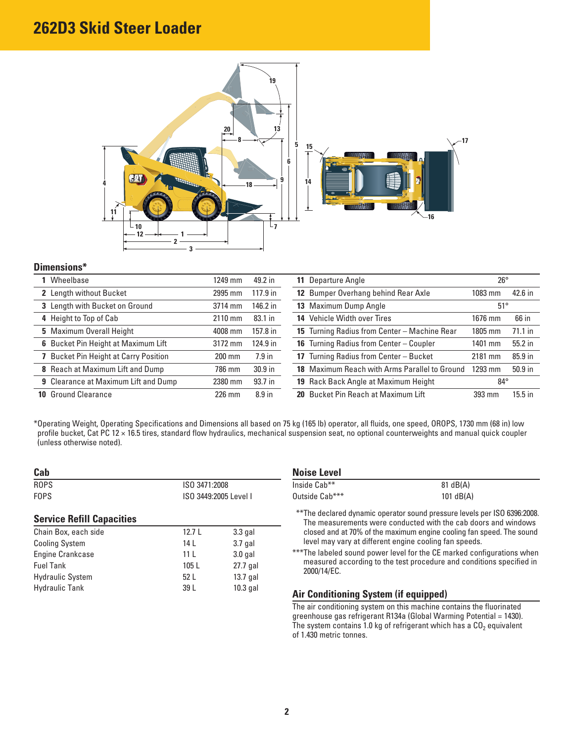

### **Dimensions\***

| Wheelbase                                   | 1249 mm  | 49.2 in           | 11 Departure Angle                            | $26^{\circ}$ |           |
|---------------------------------------------|----------|-------------------|-----------------------------------------------|--------------|-----------|
| 2 Length without Bucket                     | 2995 mm  | $117.9$ in        | 12 Bumper Overhang behind Rear Axle           | 1083 mm      | 42.6 in   |
| 3 Length with Bucket on Ground              | 3714 mm  | 146.2 in          | 13 Maximum Dump Angle                         | $51^{\circ}$ |           |
| 4 Height to Top of Cab                      | 2110 mm  | 83.1 in           | 14 Vehicle Width over Tires                   | 1676 mm      | 66 in     |
| 5 Maximum Overall Height                    | 4008 mm  | 157.8 in          | 15 Turning Radius from Center - Machine Rear  | 1805 mm      | $71.1$ in |
| 6 Bucket Pin Height at Maximum Lift         | 3172 mm  | 124.9 in          | 16 Turning Radius from Center - Coupler       | 1401 mm      | $55.2$ in |
| <b>Bucket Pin Height at Carry Position</b>  | $200$ mm | $7.9$ in          | 17 Turning Radius from Center - Bucket        | 2181 mm      | 85.9 in   |
| 8 Reach at Maximum Lift and Dump            | 786 mm   | $30.9$ in         | 18 Maximum Reach with Arms Parallel to Ground | 1293 mm      | $50.9$ in |
| <b>9</b> Clearance at Maximum Lift and Dump | 2380 mm  | 93.7 in           | 19 Rack Back Angle at Maximum Height          | $84^{\circ}$ |           |
| <b>10 Ground Clearance</b>                  | $226$ mm | 8.9 <sub>in</sub> | 20 Bucket Pin Reach at Maximum Lift           | 393 mm       | $15.5$ in |

\* Operating Weight, Operating Specifications and Dimensions all based on 75 kg (165 lb) operator, all fluids, one speed, OROPS, 1730 mm (68 in) low profile bucket, Cat PC 12 × 16.5 tires, standard flow hydraulics, mechanical suspension seat, no optional counterweights and manual quick coupler (unless otherwise noted).

| Cab                              |                                        |            | <b>Noise Level</b>                                                                                     |             |  |
|----------------------------------|----------------------------------------|------------|--------------------------------------------------------------------------------------------------------|-------------|--|
| <b>ROPS</b>                      | ISO 3471:2008<br>ISO 3449:2005 Level I |            | Inside Cab**                                                                                           | 81 dB(A)    |  |
| <b>FOPS</b>                      |                                        |            | Outside Cab***                                                                                         | 101 $dB(A)$ |  |
| <b>Service Refill Capacities</b> |                                        |            | **The declared dynamic operator sound pressure level<br>The measurements were conducted with the cab d |             |  |
| Chain Box, each side             | 12.7L                                  | $3.3$ gal  | closed and at 70% of the maximum engine cooling far                                                    |             |  |
| <b>Cooling System</b>            | 14 L                                   | $3.7$ gal  | level may vary at different engine cooling fan speed                                                   |             |  |
| Engine Crankcase                 | 11 <sup>L</sup>                        | $3.0$ gal  | *** The labeled sound power level for the CE marked com-                                               |             |  |
| <b>Fuel Tank</b>                 | 105L                                   | 27.7 gal   | measured according to the test procedure and con                                                       |             |  |
| <b>Hydraulic System</b>          | 52L                                    | $13.7$ gal | 2000/14/EC.                                                                                            |             |  |
| <b>Hydraulic Tank</b>            | 39 L                                   | $10.3$ gal | Air Conditioning System (if equinped)                                                                  |             |  |

| <b>Noise Level</b> |             |  |
|--------------------|-------------|--|
| Inside Cab**       | 81 dB(A)    |  |
| Outside Cab***     | 101 $dB(A)$ |  |

\*\*\* The declared dynamic operator sound pressure levels per ISO 6396:2008. **Service Refill Capacities** The measurements were conducted with the cab doors and windows closed and at 70% of the maximum engine cooling fan speed. The sound level may vary at different engine cooling fan speeds.

\*\*\* The labeled sound power level for the CE marked configurations when measured according to the test procedure and conditions specified in 2000/14/EC.

### **Air Conditioning System (if equipped)**

The air conditioning system on this machine contains the fluorinated greenhouse gas refrigerant R134a (Global Warming Potential = 1430). The system contains 1.0 kg of refrigerant which has a  $CO<sub>2</sub>$  equivalent of 1.430 metric tonnes.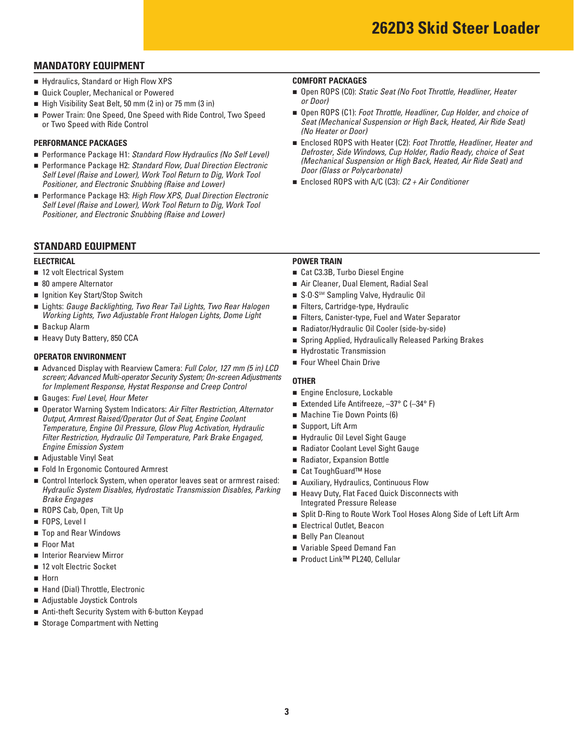### **MANDATORY EQUIPMENT**

- **Example 3 I** Hydraulics, Standard or High Flow XPS **COMFORT PACKAGES**
- **Quick Coupler, Mechanical or Powered**
- High Visibility Seat Belt, 50 mm (2 in) or 75 mm (3 in)
- Power Train: One Speed, One Speed with Ride Control, Two Speed or Two Speed with Ride Control

#### **PERFORMANCE PACKAGES**

- Performance Package H1: Standard Flow Hydraulics (No Self Level)
- Performance Package H2: Standard Flow, Dual Direction Electronic *Self Level (Raise and Lower), Work Tool Return to Dig, Work Tool Positioner, and Electronic Snubbing (Raise and Lower)*
- Performance Package H3: *High Flow XPS, Dual Direction Electronic Self Level (Raise and Lower), Work Tool Return to Dig, Work Tool Positioner, and Electronic Snubbing (Raise and Lower)*

#### **STANDARD EQUIPMENT**

- 12 volt Electrical System
- 80 ampere Alternator
- $\blacksquare$  Ignition Key Start/Stop Switch
- n Lights: *Gauge Backlighting, Two Rear Tail Lights, Two Rear Halogen* n Filters, Cartridge-type, Hydraulic *Working Lights, Two Adjustable Front Halogen Lights, Dome Light*
- **Backup Alarm**
- **E** Heavy Duty Battery, 850 CCA

- **OPERATOR ENVIRONMENT**<br>■ Advanced Display with Rearview Camera: *Full Color, 127 mm (5 in) LCD* Four Wheel Chain Drive
- Gauges: Fuel Level, Hour Meter
- *Engine Emission System COOLAGER <b>EXECUTE:* **COOLAGER 2018 n** Radiator Coolant Level Sight Gauge screen; Advanced Multi-operator Security System; On-screen Adjustments<br>
for Implement Response, Hystat Response and Creep Control<br>
■ Gauges: Fuel Level, Hour Meter<br>
■ Operator Warning System Indicators: Air Filter Restric **Output, Armrest Raised/Operator Out of Seat, Engine Coolant** *Temperature, Engine Oil Pressure, Glow Plug Activation, Hydraulic* Filter Restriction, Hydraulic Oil Temperature, Park Brake Engaged,
- Adjustable Vinyl Seat
- Fold In Ergonomic Contoured Armrest n Cat ToughGuard™ Hose
- **Example 1** Control Interlock System, when operator leaves seat or armrest raised: Hydraulic System Disables, Hydrostatic Transmission Disables, Parking<br>Brake Engages<br>Integrated Pressure Release
- ROPS Cab, Open, Tilt Up
- **FOPS**, Level I
- **The Selly Pan Cleanout The Selly Pan Cleanout n** Belly Pan Cleanout
- **Exercise** Floor Mat
- **n** Interior Rearview Mirror
- 12 volt Electric Socket
- n Horn
- Hand (Dial) Throttle, Electronic
- Adjustable Joystick Controls
- Anti-theft Security System with 6-button Keypad
- **B** Storage Compartment with Netting

- Open ROPS (C0): *Static Seat (No Foot Throttle, Headliner, Heater or Door)*
- Open ROPS (C1): *Foot Throttle, Headliner, Cup Holder, and choice of Seat (Mechanical Suspension or High Back, Heated, Air Ride Seat) (No Heater or Door)*
- Enclosed ROPS with Heater (C2): *Foot Throttle, Headliner, Heater and Defroster, Side Windows, Cup Holder, Radio Ready, choice of Seat (Mechanical Suspension or High Back, Heated, Air Ride Seat) and Door (Glass or Polycarbonate)*
- Enclosed ROPS with A/C (C3): *C2 + Air Conditioner*

#### **ELECTRICAL** POWER TRAIN

- 12 volt Electrical System n Cat C3.3B, Turbo Diesel Engine
- **1** 80 ampere Alternator **120 ampere Alternator** 1 **Air Cleaner, Dual Element, Radial Seal**
- **n** Ignition Key Start/Stop Switch n S·O·SSM Sampling Valve, Hydraulic Oil
	- Filters, Cartridge-type, Hydraulic
	- Filters, Canister-type, Fuel and Water Separator
- Backup Alarm **n Radiator/Hydraulic Oil Cooler (side-by-side)**
- Heavy Duty Battery, 850 CCA n Spring Applied, Hydraulically Released Parking Brakes
	- **Exercise Hydrostatic Transmission**
	- Four Wheel Chain Drive

- **Engine Enclosure, Lockable**
- Extended Life Antifreeze, -37° C (-34° F)
- **Machine Tie Down Points (6)**
- Support, Lift Arm
- Hydraulic Oil Level Sight Gauge
- 
- **Adjustable Vinyl Seat 19 and Radiator, Expansion Bottle** 
	- Cat ToughGuard<sup>™</sup> Hose
	- **E** Auxiliary, Hydraulics, Continuous Flow
	- **Example 20 Heavy Duty, Flat Faced Quick Disconnects with**
- **n** ROPS Cab, Open, Tilt Up **n Split D-Ring to Route Work Tool Hoses Along Side of Left Lift Arm**
- FOPS, Level I<br>■ Electrical Outlet, Beacon
	- **Belly Pan Cleanout**
- Floor Mat n Variable Speed Demand Fan
- Interior Rearview Mirror n Product Link<sup>™</sup> PL240, Cellular